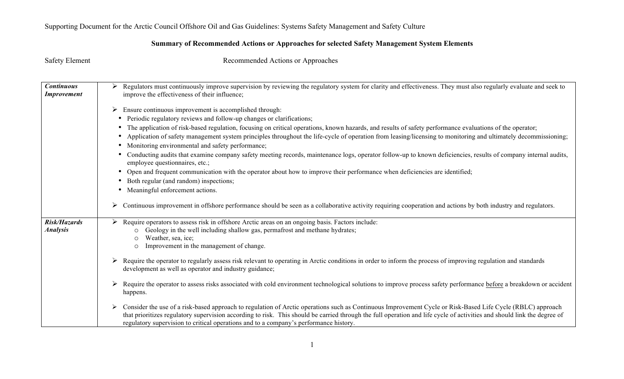## **Summary of Recommended Actions or Approaches for selected Safety Management System Elements**

| <b>Safety Element</b>                   | Recommended Actions or Approaches                                                                                                                                                                                                                                                                                                                                                                                                   |
|-----------------------------------------|-------------------------------------------------------------------------------------------------------------------------------------------------------------------------------------------------------------------------------------------------------------------------------------------------------------------------------------------------------------------------------------------------------------------------------------|
| <b>Continuous</b><br><b>Improvement</b> | Regulators must continuously improve supervision by reviewing the regulatory system for clarity and effectiveness. They must also regularly evaluate and seek to<br>improve the effectiveness of their influence;                                                                                                                                                                                                                   |
|                                         | Ensure continuous improvement is accomplished through:<br>➤                                                                                                                                                                                                                                                                                                                                                                         |
|                                         | Periodic regulatory reviews and follow-up changes or clarifications;<br>٠                                                                                                                                                                                                                                                                                                                                                           |
|                                         | The application of risk-based regulation, focusing on critical operations, known hazards, and results of safety performance evaluations of the operator;<br>٠                                                                                                                                                                                                                                                                       |
|                                         | Application of safety management system principles throughout the life-cycle of operation from leasing/licensing to monitoring and ultimately decommissioning;<br>$\bullet$                                                                                                                                                                                                                                                         |
|                                         | Monitoring environmental and safety performance;<br>$\bullet$                                                                                                                                                                                                                                                                                                                                                                       |
|                                         | Conducting audits that examine company safety meeting records, maintenance logs, operator follow-up to known deficiencies, results of company internal audits,<br>employee questionnaires, etc.;                                                                                                                                                                                                                                    |
|                                         | Open and frequent communication with the operator about how to improve their performance when deficiencies are identified;<br>٠                                                                                                                                                                                                                                                                                                     |
|                                         | Both regular (and random) inspections;<br>٠                                                                                                                                                                                                                                                                                                                                                                                         |
|                                         | Meaningful enforcement actions.                                                                                                                                                                                                                                                                                                                                                                                                     |
|                                         | Continuous improvement in offshore performance should be seen as a collaborative activity requiring cooperation and actions by both industry and regulators.                                                                                                                                                                                                                                                                        |
| Risk/Hazards<br><b>Analysis</b>         | Require operators to assess risk in offshore Arctic areas on an ongoing basis. Factors include:<br>Geology in the well including shallow gas, permafrost and methane hydrates;<br>Weather, sea, ice;<br>Improvement in the management of change.<br>$\circ$                                                                                                                                                                         |
|                                         | Require the operator to regularly assess risk relevant to operating in Arctic conditions in order to inform the process of improving regulation and standards<br>➤<br>development as well as operator and industry guidance;                                                                                                                                                                                                        |
|                                         | Require the operator to assess risks associated with cold environment technological solutions to improve process safety performance before a breakdown or accident<br>➤<br>happens.                                                                                                                                                                                                                                                 |
|                                         | Consider the use of a risk-based approach to regulation of Arctic operations such as Continuous Improvement Cycle or Risk-Based Life Cycle (RBLC) approach<br>➤<br>that prioritizes regulatory supervision according to risk. This should be carried through the full operation and life cycle of activities and should link the degree of<br>regulatory supervision to critical operations and to a company's performance history. |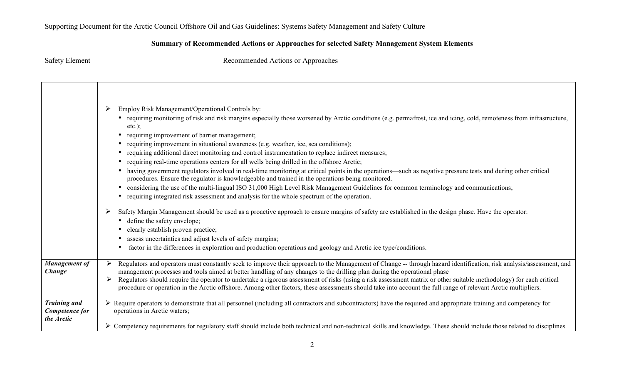## **Summary of Recommended Actions or Approaches for selected Safety Management System Elements**

|                                                     | Employ Risk Management/Operational Controls by:<br>➤<br>• requiring monitoring of risk and risk margins especially those worsened by Arctic conditions (e.g. permafrost, ice and icing, cold, remoteness from infrastructure,<br>$etc.$ );<br>requiring improvement of barrier management;<br>requiring improvement in situational awareness (e.g. weather, ice, sea conditions);<br>requiring additional direct monitoring and control instrumentation to replace indirect measures;<br>requiring real-time operations centers for all wells being drilled in the offshore Arctic;<br>having government regulators involved in real-time monitoring at critical points in the operations—such as negative pressure tests and during other critical<br>٠<br>procedures. Ensure the regulator is knowledgeable and trained in the operations being monitored.<br>considering the use of the multi-lingual ISO 31,000 High Level Risk Management Guidelines for common terminology and communications;<br>requiring integrated risk assessment and analysis for the whole spectrum of the operation. |
|-----------------------------------------------------|----------------------------------------------------------------------------------------------------------------------------------------------------------------------------------------------------------------------------------------------------------------------------------------------------------------------------------------------------------------------------------------------------------------------------------------------------------------------------------------------------------------------------------------------------------------------------------------------------------------------------------------------------------------------------------------------------------------------------------------------------------------------------------------------------------------------------------------------------------------------------------------------------------------------------------------------------------------------------------------------------------------------------------------------------------------------------------------------------|
|                                                     | Safety Margin Management should be used as a proactive approach to ensure margins of safety are established in the design phase. Have the operator:<br>➤<br>• define the safety envelope;<br>clearly establish proven practice;<br>assess uncertainties and adjust levels of safety margins;<br>factor in the differences in exploration and production operations and geology and Arctic ice type/conditions.                                                                                                                                                                                                                                                                                                                                                                                                                                                                                                                                                                                                                                                                                     |
| <b>Management of</b><br>Change                      | Regulators and operators must constantly seek to improve their approach to the Management of Change -- through hazard identification, risk analysis/assessment, and<br>management processes and tools aimed at better handling of any changes to the drilling plan during the operational phase<br>Regulators should require the operator to undertake a rigorous assessment of risks (using a risk assessment matrix or other suitable methodology) for each critical<br>procedure or operation in the Arctic offshore. Among other factors, these assessments should take into account the full range of relevant Arctic multipliers.                                                                                                                                                                                                                                                                                                                                                                                                                                                            |
| <b>Training and</b><br>Competence for<br>the Arctic | $\triangleright$ Require operators to demonstrate that all personnel (including all contractors and subcontractors) have the required and appropriate training and competency for<br>operations in Arctic waters;<br>$\triangleright$ Competency requirements for regulatory staff should include both technical and non-technical skills and knowledge. These should include those related to disciplines                                                                                                                                                                                                                                                                                                                                                                                                                                                                                                                                                                                                                                                                                         |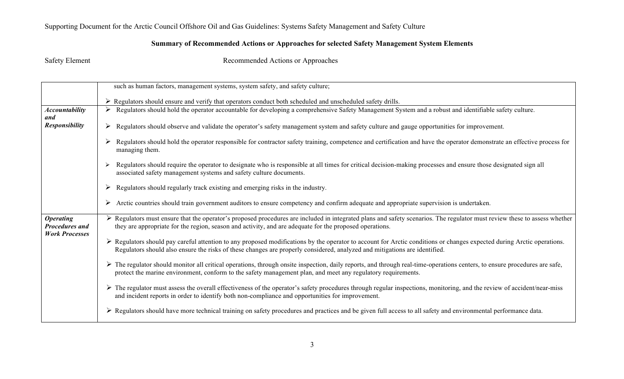#### **Summary of Recommended Actions or Approaches for selected Safety Management System Elements**

|                                                                    | such as human factors, management systems, system safety, and safety culture;                                                                                                                                                                                                                                       |
|--------------------------------------------------------------------|---------------------------------------------------------------------------------------------------------------------------------------------------------------------------------------------------------------------------------------------------------------------------------------------------------------------|
|                                                                    | $\triangleright$ Regulators should ensure and verify that operators conduct both scheduled and unscheduled safety drills.                                                                                                                                                                                           |
| <b>Accountability</b>                                              | Regulators should hold the operator accountable for developing a comprehensive Safety Management System and a robust and identifiable safety culture.<br>➤                                                                                                                                                          |
| and<br><b>Responsibility</b>                                       | Regulators should observe and validate the operator's safety management system and safety culture and gauge opportunities for improvement.<br>➤                                                                                                                                                                     |
|                                                                    | Regulators should hold the operator responsible for contractor safety training, competence and certification and have the operator demonstrate an effective process for<br>managing them.                                                                                                                           |
|                                                                    | Regulators should require the operator to designate who is responsible at all times for critical decision-making processes and ensure those designated sign all<br>associated safety management systems and safety culture documents.                                                                               |
|                                                                    | Regulators should regularly track existing and emerging risks in the industry.<br>➤                                                                                                                                                                                                                                 |
|                                                                    | Arctic countries should train government auditors to ensure competency and confirm adequate and appropriate supervision is undertaken.<br>➤                                                                                                                                                                         |
| <b>Operating</b><br><b>Procedures and</b><br><b>Work Processes</b> | > Regulators must ensure that the operator's proposed procedures are included in integrated plans and safety scenarios. The regulator must review these to assess whether<br>they are appropriate for the region, season and activity, and are adequate for the proposed operations.                                |
|                                                                    | $\triangleright$ Regulators should pay careful attention to any proposed modifications by the operator to account for Arctic conditions or changes expected during Arctic operations.<br>Regulators should also ensure the risks of these changes are properly considered, analyzed and mitigations are identified. |
|                                                                    | > The regulator should monitor all critical operations, through onsite inspection, daily reports, and through real-time-operations centers, to ensure procedures are safe,<br>protect the marine environment, conform to the safety management plan, and meet any regulatory requirements.                          |
|                                                                    | > The regulator must assess the overall effectiveness of the operator's safety procedures through regular inspections, monitoring, and the review of accident/near-miss<br>and incident reports in order to identify both non-compliance and opportunities for improvement.                                         |
|                                                                    | ► Regulators should have more technical training on safety procedures and practices and be given full access to all safety and environmental performance data.                                                                                                                                                      |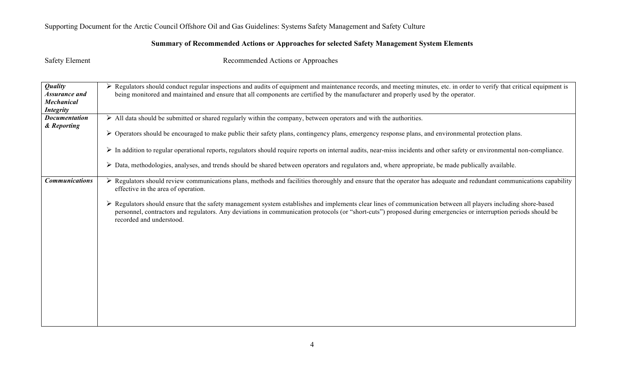## **Summary of Recommended Actions or Approaches for selected Safety Management System Elements**

| <b>Quality</b><br>Assurance and<br><b>Mechanical</b><br><b>Integrity</b> | > Regulators should conduct regular inspections and audits of equipment and maintenance records, and meeting minutes, etc. in order to verify that critical equipment is<br>being monitored and maintained and ensure that all components are certified by the manufacturer and properly used by the operator.                                                                                                                                                                                                                                                                                  |
|--------------------------------------------------------------------------|-------------------------------------------------------------------------------------------------------------------------------------------------------------------------------------------------------------------------------------------------------------------------------------------------------------------------------------------------------------------------------------------------------------------------------------------------------------------------------------------------------------------------------------------------------------------------------------------------|
| <b>Documentation</b><br>& Reporting                                      | $\triangleright$ All data should be submitted or shared regularly within the company, between operators and with the authorities.<br>$\triangleright$ Operators should be encouraged to make public their safety plans, contingency plans, emergency response plans, and environmental protection plans.                                                                                                                                                                                                                                                                                        |
|                                                                          | In addition to regular operational reports, regulators should require reports on internal audits, near-miss incidents and other safety or environmental non-compliance.                                                                                                                                                                                                                                                                                                                                                                                                                         |
|                                                                          | Data, methodologies, analyses, and trends should be shared between operators and regulators and, where appropriate, be made publically available.<br>➤                                                                                                                                                                                                                                                                                                                                                                                                                                          |
| <b>Communications</b>                                                    | $\triangleright$ Regulators should review communications plans, methods and facilities thoroughly and ensure that the operator has adequate and redundant communications capability<br>effective in the area of operation.<br>Regulators should ensure that the safety management system establishes and implements clear lines of communication between all players including shore-based<br>➤<br>personnel, contractors and regulators. Any deviations in communication protocols (or "short-cuts") proposed during emergencies or interruption periods should be<br>recorded and understood. |
|                                                                          |                                                                                                                                                                                                                                                                                                                                                                                                                                                                                                                                                                                                 |
|                                                                          |                                                                                                                                                                                                                                                                                                                                                                                                                                                                                                                                                                                                 |
|                                                                          |                                                                                                                                                                                                                                                                                                                                                                                                                                                                                                                                                                                                 |
|                                                                          |                                                                                                                                                                                                                                                                                                                                                                                                                                                                                                                                                                                                 |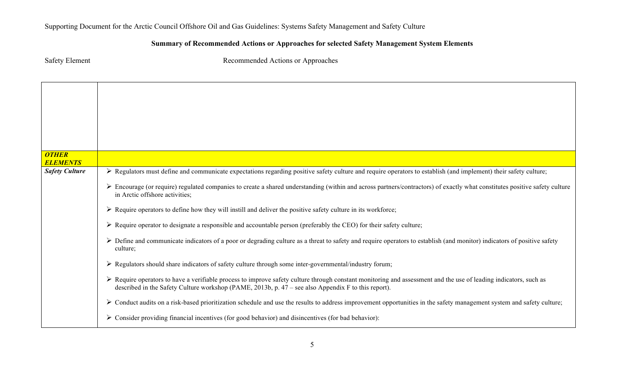| <b>Safety Element</b>           | Recommended Actions or Approaches                                                                                                                                                                                                                                                        |
|---------------------------------|------------------------------------------------------------------------------------------------------------------------------------------------------------------------------------------------------------------------------------------------------------------------------------------|
|                                 |                                                                                                                                                                                                                                                                                          |
|                                 |                                                                                                                                                                                                                                                                                          |
|                                 |                                                                                                                                                                                                                                                                                          |
|                                 |                                                                                                                                                                                                                                                                                          |
|                                 |                                                                                                                                                                                                                                                                                          |
|                                 |                                                                                                                                                                                                                                                                                          |
| <b>OTHER</b><br><b>ELEMENTS</b> |                                                                                                                                                                                                                                                                                          |
| <b>Safety Culture</b>           | > Regulators must define and communicate expectations regarding positive safety culture and require operators to establish (and implement) their safety culture;                                                                                                                         |
|                                 | Encourage (or require) regulated companies to create a shared understanding (within and across partners/contractors) of exactly what constitutes positive safety culture<br>in Arctic offshore activities;                                                                               |
|                                 | $\triangleright$ Require operators to define how they will instill and deliver the positive safety culture in its workforce;                                                                                                                                                             |
|                                 | $\triangleright$ Require operator to designate a responsible and accountable person (preferably the CEO) for their safety culture;                                                                                                                                                       |
|                                 | > Define and communicate indicators of a poor or degrading culture as a threat to safety and require operators to establish (and monitor) indicators of positive safety<br>culture;                                                                                                      |
|                                 | > Regulators should share indicators of safety culture through some inter-governmental/industry forum;                                                                                                                                                                                   |
|                                 | $\triangleright$ Require operators to have a verifiable process to improve safety culture through constant monitoring and assessment and the use of leading indicators, such as<br>described in the Safety Culture workshop (PAME, 2013b, p. $47$ – see also Appendix F to this report). |
|                                 | > Conduct audits on a risk-based prioritization schedule and use the results to address improvement opportunities in the safety management system and safety culture;                                                                                                                    |
|                                 | $\triangleright$ Consider providing financial incentives (for good behavior) and disincentives (for bad behavior):                                                                                                                                                                       |

## **Summary of Recommended Actions or Approaches for selected Safety Management System Elements**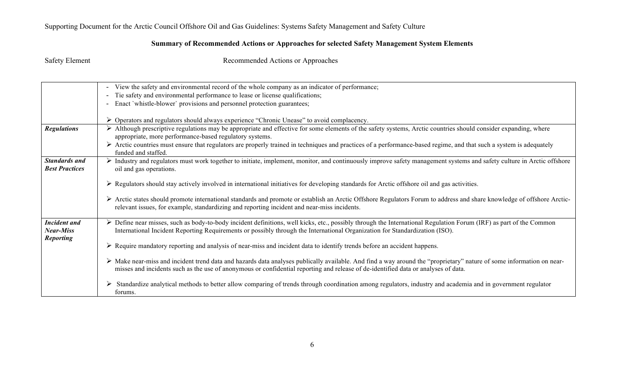#### **Summary of Recommended Actions or Approaches for selected Safety Management System Elements**

|                                               | View the safety and environmental record of the whole company as an indicator of performance;<br>$\overline{\phantom{a}}$                                                                                                                                                                                  |
|-----------------------------------------------|------------------------------------------------------------------------------------------------------------------------------------------------------------------------------------------------------------------------------------------------------------------------------------------------------------|
|                                               | Tie safety and environmental performance to lease or license qualifications;                                                                                                                                                                                                                               |
|                                               | Enact 'whistle-blower' provisions and personnel protection guarantees;                                                                                                                                                                                                                                     |
|                                               |                                                                                                                                                                                                                                                                                                            |
|                                               | Operators and regulators should always experience "Chronic Unease" to avoid complacency.<br>➤                                                                                                                                                                                                              |
| <b>Regulations</b>                            | > Although prescriptive regulations may be appropriate and effective for some elements of the safety systems, Arctic countries should consider expanding, where<br>appropriate, more performance-based regulatory systems.                                                                                 |
|                                               | > Arctic countries must ensure that regulators are properly trained in techniques and practices of a performance-based regime, and that such a system is adequately<br>funded and staffed.                                                                                                                 |
| <b>Standards and</b><br><b>Best Practices</b> | > Industry and regulators must work together to initiate, implement, monitor, and continuously improve safety management systems and safety culture in Arctic offshore<br>oil and gas operations.                                                                                                          |
|                                               | $\triangleright$ Regulators should stay actively involved in international initiatives for developing standards for Arctic offshore oil and gas activities.                                                                                                                                                |
|                                               | ► Arctic states should promote international standards and promote or establish an Arctic Offshore Regulators Forum to address and share knowledge of offshore Arctic-<br>relevant issues, for example, standardizing and reporting incident and near-miss incidents.                                      |
| <b>Incident and</b><br><b>Near-Miss</b>       | Define near misses, such as body-to-body incident definitions, well kicks, etc., possibly through the International Regulation Forum (IRF) as part of the Common<br>➤<br>International Incident Reporting Requirements or possibly through the International Organization for Standardization (ISO).       |
| <b>Reporting</b>                              | $\triangleright$ Require mandatory reporting and analysis of near-miss and incident data to identify trends before an accident happens.                                                                                                                                                                    |
|                                               | > Make near-miss and incident trend data and hazards data analyses publically available. And find a way around the "proprietary" nature of some information on near-<br>misses and incidents such as the use of anonymous or confidential reporting and release of de-identified data or analyses of data. |
|                                               | Standardize analytical methods to better allow comparing of trends through coordination among regulators, industry and academia and in government regulator<br>forums.                                                                                                                                     |